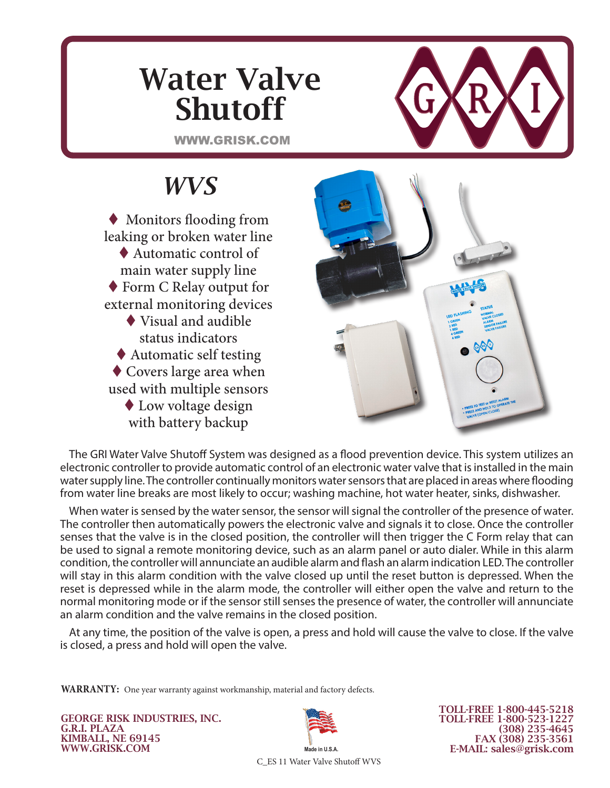# Water Valve Shutoff

WWW.GRISK.COM



### *WVS*

 Monitors flooding from leaking or broken water line ◆ Automatic control of main water supply line ◆ Form C Relay output for external monitoring devices Visual and audible status indicators Automatic self testing Covers large area when used with multiple sensors ◆ Low voltage design with battery backup



The GRI Water Valve Shutoff System was designed as a flood prevention device. This system utilizes an electronic controller to provide automatic control of an electronic water valve that is installed in the main water supply line. The controller continually monitors water sensors that are placed in areas where flooding from water line breaks are most likely to occur; washing machine, hot water heater, sinks, dishwasher.

When water is sensed by the water sensor, the sensor will signal the controller of the presence of water. The controller then automatically powers the electronic valve and signals it to close. Once the controller senses that the valve is in the closed position, the controller will then trigger the C Form relay that can be used to signal a remote monitoring device, such as an alarm panel or auto dialer. While in this alarm condition, the controller will annunciate an audible alarm and flash an alarm indication LED. The controller will stay in this alarm condition with the valve closed up until the reset button is depressed. When the reset is depressed while in the alarm mode, the controller will either open the valve and return to the normal monitoring mode or if the sensor still senses the presence of water, the controller will annunciate an alarm condition and the valve remains in the closed position.

At any time, the position of the valve is open, a press and hold will cause the valve to close. If the valve is closed, a press and hold will open the valve.

**WARRANTY:** One year warranty against workmanship, material and factory defects.

GEORGE RISK INDUSTRIES, INC. G.R.I. PLAZA KIMBALL, NE 69145 WWW.GRISK.COM



TOLL-FREE 1-800-445-5218 TOLL-FREE 1-800-523-1227 (308) 235-4645 FAX (308) 235-3561 E-MAIL: sales@grisk.com

C\_ES 11 Water Valve Shutoff WVS